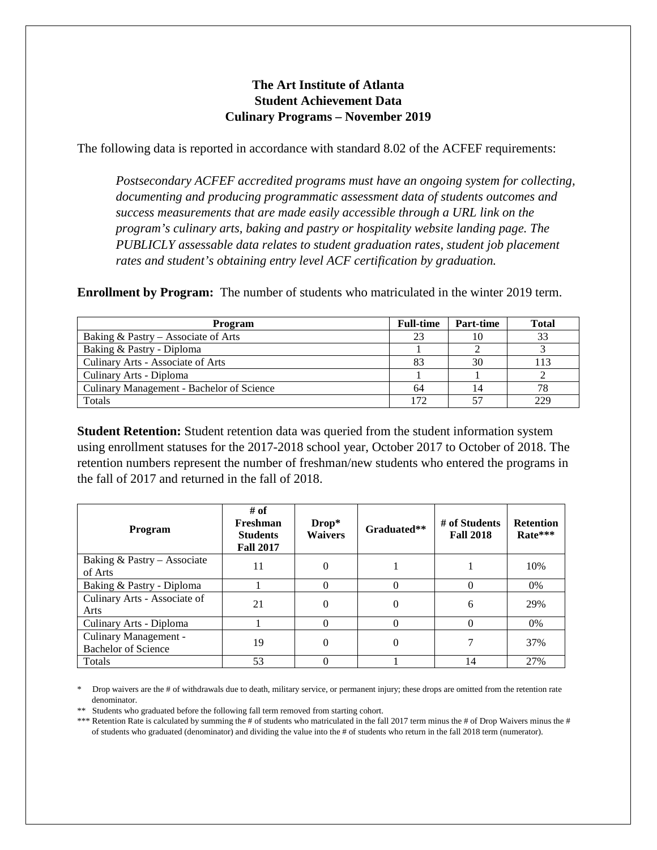## **The Art Institute of Atlanta Student Achievement Data Culinary Programs – November 2019**

The following data is reported in accordance with standard 8.02 of the ACFEF requirements:

*Postsecondary ACFEF accredited programs must have an ongoing system for collecting, documenting and producing programmatic assessment data of students outcomes and success measurements that are made easily accessible through a URL link on the program's culinary arts, baking and pastry or hospitality website landing page. The PUBLICLY assessable data relates to student graduation rates, student job placement rates and student's obtaining entry level ACF certification by graduation.*

**Enrollment by Program:** The number of students who matriculated in the winter 2019 term.

| Program                                   | <b>Full-time</b> | Part-time | <b>Total</b> |
|-------------------------------------------|------------------|-----------|--------------|
| Baking & Pastry – Associate of Arts       |                  |           | 33           |
| Baking & Pastry - Diploma                 |                  |           |              |
| Culinary Arts - Associate of Arts         |                  |           | 13           |
| Culinary Arts - Diploma                   |                  |           |              |
| Culinary Management - Bachelor of Science | 64               |           | 78           |
| Totals                                    |                  |           |              |

**Student Retention:** Student retention data was queried from the student information system using enrollment statuses for the 2017-2018 school year, October 2017 to October of 2018. The retention numbers represent the number of freshman/new students who entered the programs in the fall of 2017 and returned in the fall of 2018.

| <b>Program</b>                                      | # of<br>Freshman<br><b>Students</b><br><b>Fall 2017</b> | $Drop*$<br><b>Waivers</b> | Graduated** | # of Students<br><b>Fall 2018</b> | <b>Retention</b><br>Rate*** |
|-----------------------------------------------------|---------------------------------------------------------|---------------------------|-------------|-----------------------------------|-----------------------------|
| Baking & Pastry - Associate<br>of Arts              | 11                                                      | 0                         |             |                                   | 10%                         |
| Baking & Pastry - Diploma                           |                                                         |                           | $\Omega$    | 0                                 | 0%                          |
| Culinary Arts - Associate of<br>Arts                | 21                                                      | 0                         | $\theta$    | 6                                 | 29%                         |
| Culinary Arts - Diploma                             |                                                         |                           | $\Omega$    | $\Omega$                          | $0\%$                       |
| Culinary Management -<br><b>Bachelor of Science</b> | 19                                                      | 0                         | $\theta$    |                                   | 37%                         |
| Totals                                              | 53                                                      |                           |             | 14                                | 27%                         |

\* Drop waivers are the # of withdrawals due to death, military service, or permanent injury; these drops are omitted from the retention rate denominator.

\*\* Students who graduated before the following fall term removed from starting cohort.

\*\*\* Retention Rate is calculated by summing the # of students who matriculated in the fall 2017 term minus the # of Drop Waivers minus the # of students who graduated (denominator) and dividing the value into the # of students who return in the fall 2018 term (numerator).